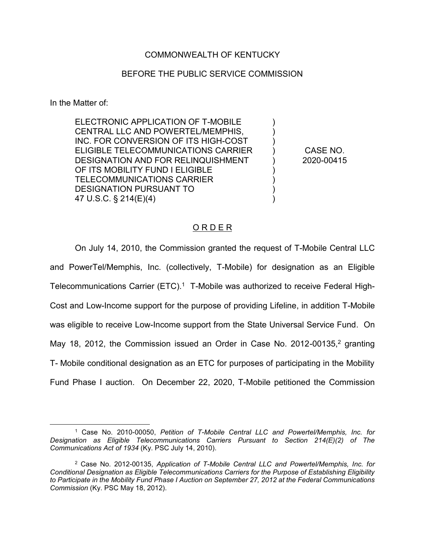## COMMONWEALTH OF KENTUCKY

## BEFORE THE PUBLIC SERVICE COMMISSION

In the Matter of:

ELECTRONIC APPLICATION OF T-MOBILE CENTRAL LLC AND POWERTEL/MEMPHIS, INC. FOR CONVERSION OF ITS HIGH-COST ELIGIBLE TELECOMMUNICATIONS CARRIER DESIGNATION AND FOR RELINQUISHMENT OF ITS MOBILITY FUND I ELIGIBLE TELECOMMUNICATIONS CARRIER DESIGNATION PURSUANT TO 47 U.S.C. § 214(E)(4)

CASE NO. 2020-00415

 $\lambda$  $\lambda$ )  $\lambda$ ) ) ) ) )

## O R D E R

On July 14, 2010, the Commission granted the request of T-Mobile Central LLC and PowerTel/Memphis, Inc. (collectively, T-Mobile) for designation as an Eligible Telecommunications Carrier  $(ETC)^1$  T-Mobile was authorized to receive Federal High-Cost and Low-Income support for the purpose of providing Lifeline, in addition T-Mobile was eligible to receive Low-Income support from the State Universal Service Fund. On May 18, 2012, the Commission issued an Order in Case No. 2012-00135, $2$  granting T- Mobile conditional designation as an ETC for purposes of participating in the Mobility Fund Phase I auction. On December 22, 2020, T-Mobile petitioned the Commission

 <sup>1</sup> Case No. 2010-00050, *Petition of T-Mobile Central LLC and Powertel/Memphis, Inc. for Designation as Eligible Telecommunications Carriers Pursuant to Section 214(E)(2) of The Communications Act of 1934* (Ky. PSC July 14, 2010).

<sup>2</sup> Case No. 2012-00135, *Application of T-Mobile Central LLC and Powertel/Memphis, Inc. for Conditional Designation as Eligible Telecommunications Carriers for the Purpose of Establishing Eligibility to Participate in the Mobility Fund Phase I Auction on September 27, 2012 at the Federal Communications Commission* (Ky. PSC May 18, 2012).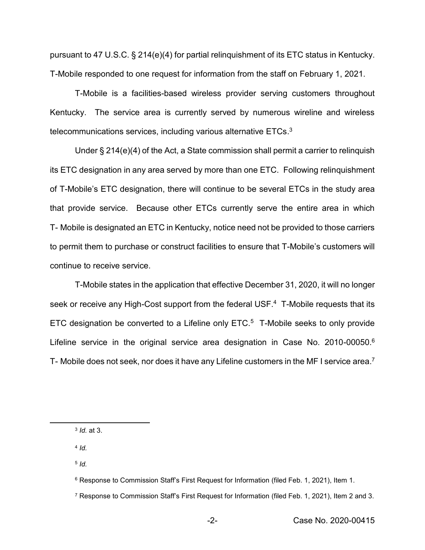pursuant to 47 U.S.C. § 214(e)(4) for partial relinquishment of its ETC status in Kentucky. T-Mobile responded to one request for information from the staff on February 1, 2021.

T-Mobile is a facilities-based wireless provider serving customers throughout Kentucky. The service area is currently served by numerous wireline and wireless telecommunications services, including various alternative ETCs. $3$ 

Under § 214(e)(4) of the Act, a State commission shall permit a carrier to relinquish its ETC designation in any area served by more than one ETC. Following relinquishment of T-Mobile's ETC designation, there will continue to be several ETCs in the study area that provide service. Because other ETCs currently serve the entire area in which T- Mobile is designated an ETC in Kentucky, notice need not be provided to those carriers to permit them to purchase or construct facilities to ensure that T-Mobile's customers will continue to receive service.

T-Mobile states in the application that effective December 31, 2020, it will no longer seek or receive any High-Cost support from the federal USF.<sup>4</sup> T-Mobile requests that its ETC designation be converted to a Lifeline only ETC.<sup>5</sup> T-Mobile seeks to only provide Lifeline service in the original service area designation in Case No. 2010-00050.<sup>6</sup> T- Mobile does not seek, nor does it have any Lifeline customers in the MF I service area.7

<sup>4</sup> *Id.*

<sup>5</sup> *Id.*

 <sup>3</sup> *Id.* at 3.

<sup>6</sup> Response to Commission Staff's First Request for Information (filed Feb. 1, 2021), Item 1.

<sup>7</sup> Response to Commission Staff's First Request for Information (filed Feb. 1, 2021), Item 2 and 3.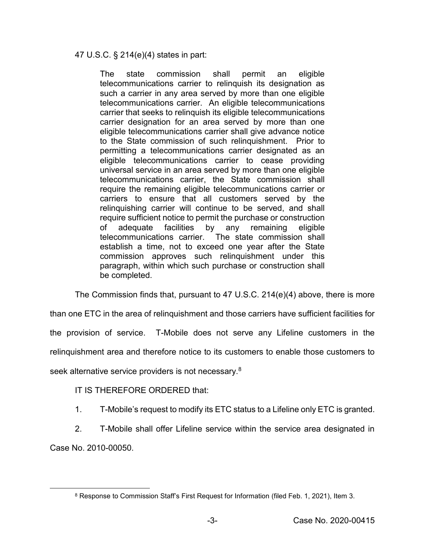47 U.S.C. § 214(e)(4) states in part:

The state commission shall permit an eligible telecommunications carrier to relinquish its designation as such a carrier in any area served by more than one eligible telecommunications carrier. An eligible telecommunications carrier that seeks to relinquish its eligible telecommunications carrier designation for an area served by more than one eligible telecommunications carrier shall give advance notice to the State commission of such relinquishment. Prior to permitting a telecommunications carrier designated as an eligible telecommunications carrier to cease providing universal service in an area served by more than one eligible telecommunications carrier, the State commission shall require the remaining eligible telecommunications carrier or carriers to ensure that all customers served by the relinquishing carrier will continue to be served, and shall require sufficient notice to permit the purchase or construction of adequate facilities by any remaining eligible telecommunications carrier. The state commission shall establish a time, not to exceed one year after the State commission approves such relinquishment under this paragraph, within which such purchase or construction shall be completed.

The Commission finds that, pursuant to 47 U.S.C. 214(e)(4) above, there is more

than one ETC in the area of relinquishment and those carriers have sufficient facilities for the provision of service. T-Mobile does not serve any Lifeline customers in the relinquishment area and therefore notice to its customers to enable those customers to seek alternative service providers is not necessary.<sup>8</sup>

IT IS THEREFORE ORDERED that:

1. T-Mobile's request to modify its ETC status to a Lifeline only ETC is granted.

2. T-Mobile shall offer Lifeline service within the service area designated in Case No. 2010-00050.

 <sup>8</sup> Response to Commission Staff's First Request for Information (filed Feb. 1, 2021), Item 3.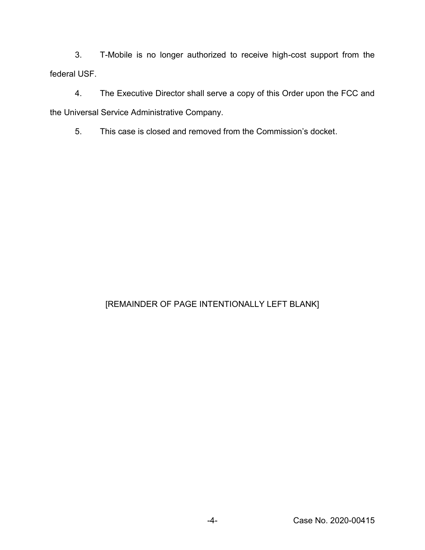3. T-Mobile is no longer authorized to receive high-cost support from the federal USF.

4. The Executive Director shall serve a copy of this Order upon the FCC and the Universal Service Administrative Company.

5. This case is closed and removed from the Commission's docket.

## [REMAINDER OF PAGE INTENTIONALLY LEFT BLANK]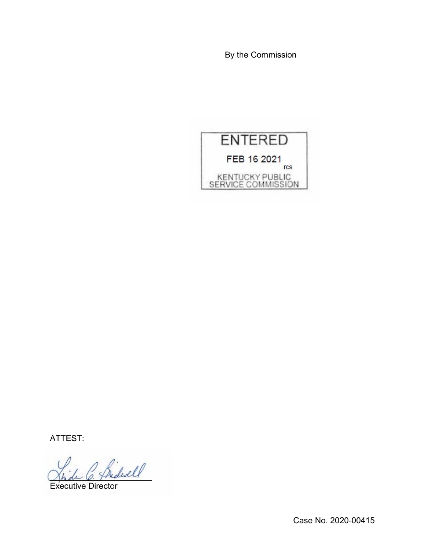By the Commission



ATTEST:

\_\_\_\_\_\_\_\_\_\_\_\_\_\_\_\_\_\_\_\_\_\_

Executive Director